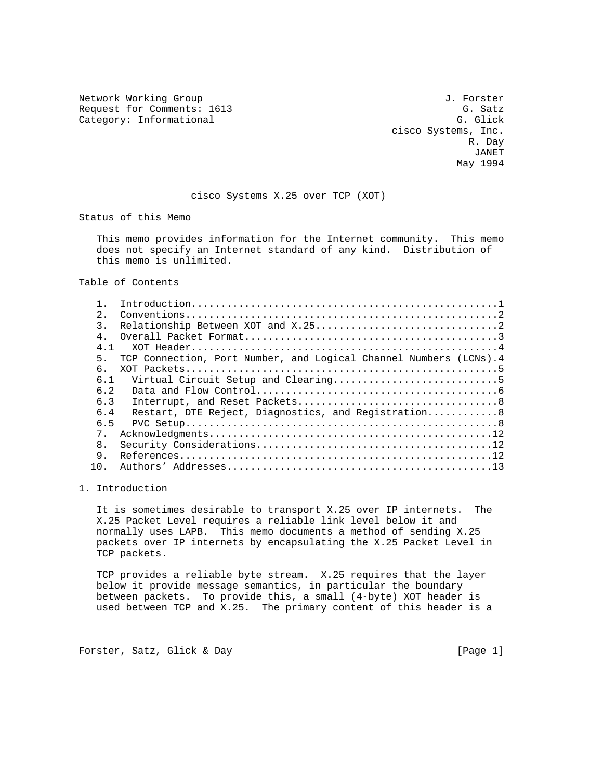Network Working Group J. Forster Request for Comments: 1613 G. Satz<br>
Category: Informational G. Glick Category: Informational

 cisco Systems, Inc. R. Day JANET May 1994

### cisco Systems X.25 over TCP (XOT)

Status of this Memo

 This memo provides information for the Internet community. This memo does not specify an Internet standard of any kind. Distribution of this memo is unlimited.

Table of Contents

| 2.             |                                                                   |
|----------------|-------------------------------------------------------------------|
| $\mathcal{L}$  |                                                                   |
| 4 <sub>1</sub> |                                                                   |
| 4.1            |                                                                   |
| 5.             | TCP Connection, Port Number, and Logical Channel Numbers (LCNs).4 |
| б.             |                                                                   |
| 6.1            |                                                                   |
| 6.2            |                                                                   |
| 6.3            |                                                                   |
| 6.4            | Restart, DTE Reject, Diagnostics, and Registration 8              |
| 6.5            |                                                                   |
| $7$ .          |                                                                   |
| 8 <sub>1</sub> |                                                                   |
| 9.             |                                                                   |
| 1 N            |                                                                   |
|                |                                                                   |

# 1. Introduction

 It is sometimes desirable to transport X.25 over IP internets. The X.25 Packet Level requires a reliable link level below it and normally uses LAPB. This memo documents a method of sending X.25 packets over IP internets by encapsulating the X.25 Packet Level in TCP packets.

 TCP provides a reliable byte stream. X.25 requires that the layer below it provide message semantics, in particular the boundary between packets. To provide this, a small (4-byte) XOT header is used between TCP and X.25. The primary content of this header is a

Forster, Satz, Glick & Day [Page 1]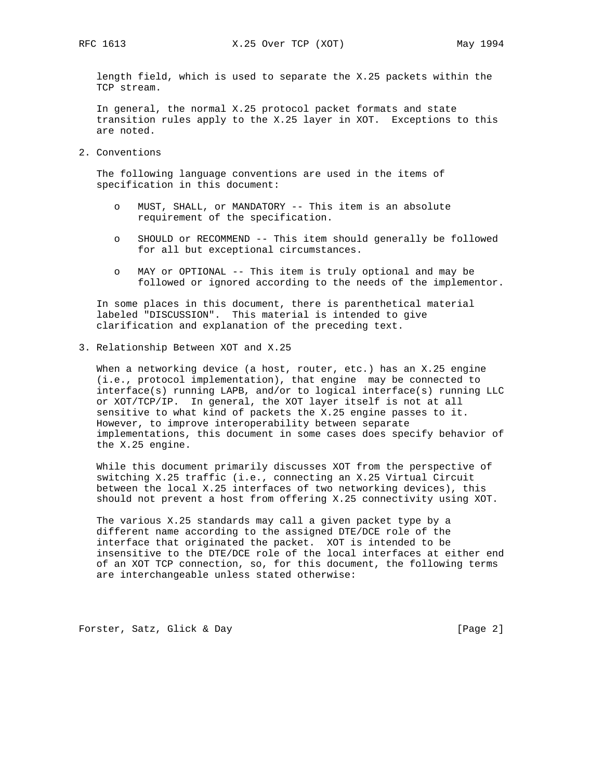length field, which is used to separate the X.25 packets within the TCP stream.

 In general, the normal X.25 protocol packet formats and state transition rules apply to the X.25 layer in XOT. Exceptions to this are noted.

2. Conventions

 The following language conventions are used in the items of specification in this document:

- o MUST, SHALL, or MANDATORY -- This item is an absolute requirement of the specification.
- o SHOULD or RECOMMEND -- This item should generally be followed for all but exceptional circumstances.
- o MAY or OPTIONAL -- This item is truly optional and may be followed or ignored according to the needs of the implementor.

 In some places in this document, there is parenthetical material labeled "DISCUSSION". This material is intended to give clarification and explanation of the preceding text.

3. Relationship Between XOT and X.25

 When a networking device (a host, router, etc.) has an X.25 engine (i.e., protocol implementation), that engine may be connected to interface(s) running LAPB, and/or to logical interface(s) running LLC or XOT/TCP/IP. In general, the XOT layer itself is not at all sensitive to what kind of packets the X.25 engine passes to it. However, to improve interoperability between separate implementations, this document in some cases does specify behavior of the X.25 engine.

 While this document primarily discusses XOT from the perspective of switching X.25 traffic (i.e., connecting an X.25 Virtual Circuit between the local X.25 interfaces of two networking devices), this should not prevent a host from offering X.25 connectivity using XOT.

 The various X.25 standards may call a given packet type by a different name according to the assigned DTE/DCE role of the interface that originated the packet. XOT is intended to be insensitive to the DTE/DCE role of the local interfaces at either end of an XOT TCP connection, so, for this document, the following terms are interchangeable unless stated otherwise:

Forster, Satz, Glick & Day [Page 2]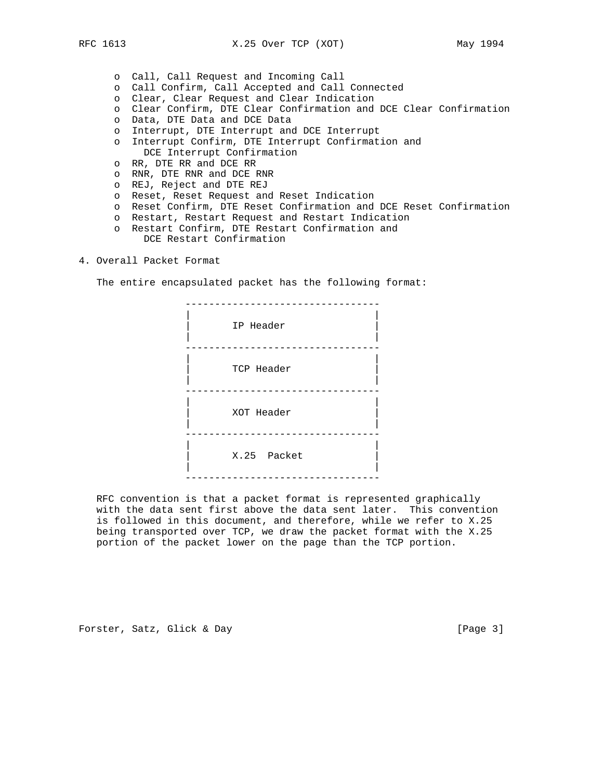- o Call, Call Request and Incoming Call
- o Call Confirm, Call Accepted and Call Connected
- o Clear, Clear Request and Clear Indication
- o Clear Confirm, DTE Clear Confirmation and DCE Clear Confirmation
- o Data, DTE Data and DCE Data
- o Interrupt, DTE Interrupt and DCE Interrupt
- o Interrupt Confirm, DTE Interrupt Confirmation and DCE Interrupt Confirmation
- o RR, DTE RR and DCE RR
- o RNR, DTE RNR and DCE RNR
- o REJ, Reject and DTE REJ
- o Reset, Reset Request and Reset Indication
- o Reset Confirm, DTE Reset Confirmation and DCE Reset Confirmation
- o Restart, Restart Request and Restart Indication
- o Restart Confirm, DTE Restart Confirmation and DCE Restart Confirmation
- 4. Overall Packet Format

The entire encapsulated packet has the following format:

 --------------------------------- | |  $\vert$  in the Header  $\vert$  | | --------------------------------- | | | TCP Header | | --------------------------------- | | | XOT Header | | | --------------------------------- | | | X.25 Packet | | | ---------------------------------

 RFC convention is that a packet format is represented graphically with the data sent first above the data sent later. This convention is followed in this document, and therefore, while we refer to X.25 being transported over TCP, we draw the packet format with the X.25 portion of the packet lower on the page than the TCP portion.

Forster, Satz, Glick & Day [Page 3]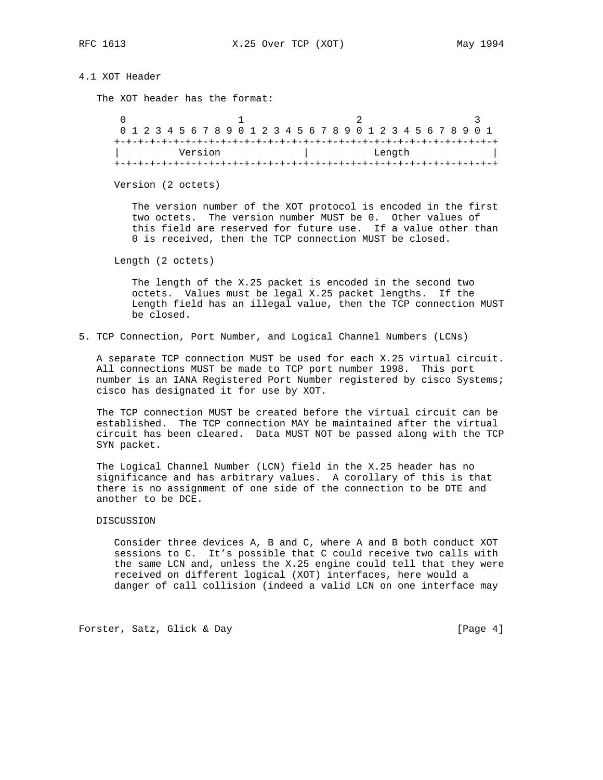# 4.1 XOT Header

The XOT header has the format:

| 0 1 2 3 4 5 6 7 8 9 0 1 2 3 4 5 6 7 8 9 0 1 2 3 4 5 6 7 8 9 0 1 |  |         |  |  |  |  |  |  |  |  |        |  |  |  |  |
|-----------------------------------------------------------------|--|---------|--|--|--|--|--|--|--|--|--------|--|--|--|--|
|                                                                 |  |         |  |  |  |  |  |  |  |  |        |  |  |  |  |
|                                                                 |  | Version |  |  |  |  |  |  |  |  | Length |  |  |  |  |
|                                                                 |  |         |  |  |  |  |  |  |  |  |        |  |  |  |  |

Version (2 octets)

 The version number of the XOT protocol is encoded in the first two octets. The version number MUST be 0. Other values of this field are reserved for future use. If a value other than 0 is received, then the TCP connection MUST be closed.

Length (2 octets)

 The length of the X.25 packet is encoded in the second two octets. Values must be legal X.25 packet lengths. If the Length field has an illegal value, then the TCP connection MUST be closed.

5. TCP Connection, Port Number, and Logical Channel Numbers (LCNs)

 A separate TCP connection MUST be used for each X.25 virtual circuit. All connections MUST be made to TCP port number 1998. This port number is an IANA Registered Port Number registered by cisco Systems; cisco has designated it for use by XOT.

 The TCP connection MUST be created before the virtual circuit can be established. The TCP connection MAY be maintained after the virtual circuit has been cleared. Data MUST NOT be passed along with the TCP SYN packet.

 The Logical Channel Number (LCN) field in the X.25 header has no significance and has arbitrary values. A corollary of this is that there is no assignment of one side of the connection to be DTE and another to be DCE.

### DISCUSSION

 Consider three devices A, B and C, where A and B both conduct XOT sessions to C. It's possible that C could receive two calls with the same LCN and, unless the X.25 engine could tell that they were received on different logical (XOT) interfaces, here would a danger of call collision (indeed a valid LCN on one interface may

Forster, Satz, Glick & Day [Page 4]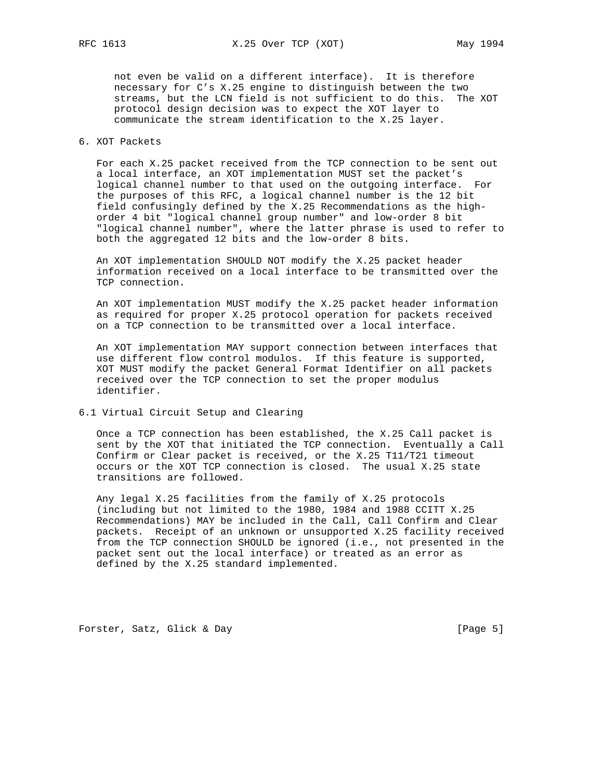not even be valid on a different interface). It is therefore necessary for C's X.25 engine to distinguish between the two streams, but the LCN field is not sufficient to do this. The XOT protocol design decision was to expect the XOT layer to communicate the stream identification to the X.25 layer.

### 6. XOT Packets

 For each X.25 packet received from the TCP connection to be sent out a local interface, an XOT implementation MUST set the packet's logical channel number to that used on the outgoing interface. For the purposes of this RFC, a logical channel number is the 12 bit field confusingly defined by the X.25 Recommendations as the high order 4 bit "logical channel group number" and low-order 8 bit "logical channel number", where the latter phrase is used to refer to both the aggregated 12 bits and the low-order 8 bits.

 An XOT implementation SHOULD NOT modify the X.25 packet header information received on a local interface to be transmitted over the TCP connection.

 An XOT implementation MUST modify the X.25 packet header information as required for proper X.25 protocol operation for packets received on a TCP connection to be transmitted over a local interface.

 An XOT implementation MAY support connection between interfaces that use different flow control modulos. If this feature is supported, XOT MUST modify the packet General Format Identifier on all packets received over the TCP connection to set the proper modulus identifier.

6.1 Virtual Circuit Setup and Clearing

 Once a TCP connection has been established, the X.25 Call packet is sent by the XOT that initiated the TCP connection. Eventually a Call Confirm or Clear packet is received, or the X.25 T11/T21 timeout occurs or the XOT TCP connection is closed. The usual X.25 state transitions are followed.

 Any legal X.25 facilities from the family of X.25 protocols (including but not limited to the 1980, 1984 and 1988 CCITT X.25 Recommendations) MAY be included in the Call, Call Confirm and Clear packets. Receipt of an unknown or unsupported X.25 facility received from the TCP connection SHOULD be ignored (i.e., not presented in the packet sent out the local interface) or treated as an error as defined by the X.25 standard implemented.

Forster, Satz, Glick & Day [Page 5]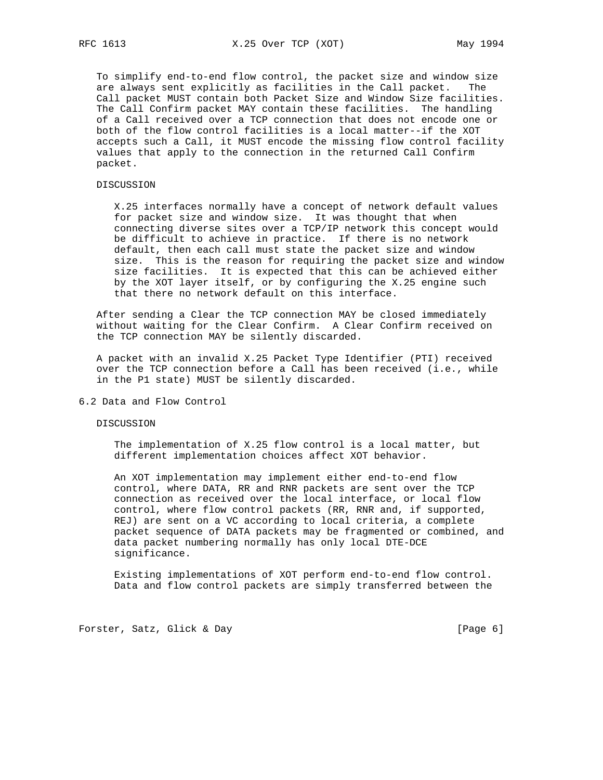To simplify end-to-end flow control, the packet size and window size are always sent explicitly as facilities in the Call packet. The Call packet MUST contain both Packet Size and Window Size facilities. The Call Confirm packet MAY contain these facilities. The handling of a Call received over a TCP connection that does not encode one or both of the flow control facilities is a local matter--if the XOT accepts such a Call, it MUST encode the missing flow control facility values that apply to the connection in the returned Call Confirm packet.

## DISCUSSION

 X.25 interfaces normally have a concept of network default values for packet size and window size. It was thought that when connecting diverse sites over a TCP/IP network this concept would be difficult to achieve in practice. If there is no network default, then each call must state the packet size and window size. This is the reason for requiring the packet size and window size facilities. It is expected that this can be achieved either by the XOT layer itself, or by configuring the X.25 engine such that there no network default on this interface.

 After sending a Clear the TCP connection MAY be closed immediately without waiting for the Clear Confirm. A Clear Confirm received on the TCP connection MAY be silently discarded.

 A packet with an invalid X.25 Packet Type Identifier (PTI) received over the TCP connection before a Call has been received (i.e., while in the P1 state) MUST be silently discarded.

#### 6.2 Data and Flow Control

#### DISCUSSION

 The implementation of X.25 flow control is a local matter, but different implementation choices affect XOT behavior.

 An XOT implementation may implement either end-to-end flow control, where DATA, RR and RNR packets are sent over the TCP connection as received over the local interface, or local flow control, where flow control packets (RR, RNR and, if supported, REJ) are sent on a VC according to local criteria, a complete packet sequence of DATA packets may be fragmented or combined, and data packet numbering normally has only local DTE-DCE significance.

 Existing implementations of XOT perform end-to-end flow control. Data and flow control packets are simply transferred between the

Forster, Satz, Glick & Day (Page 6)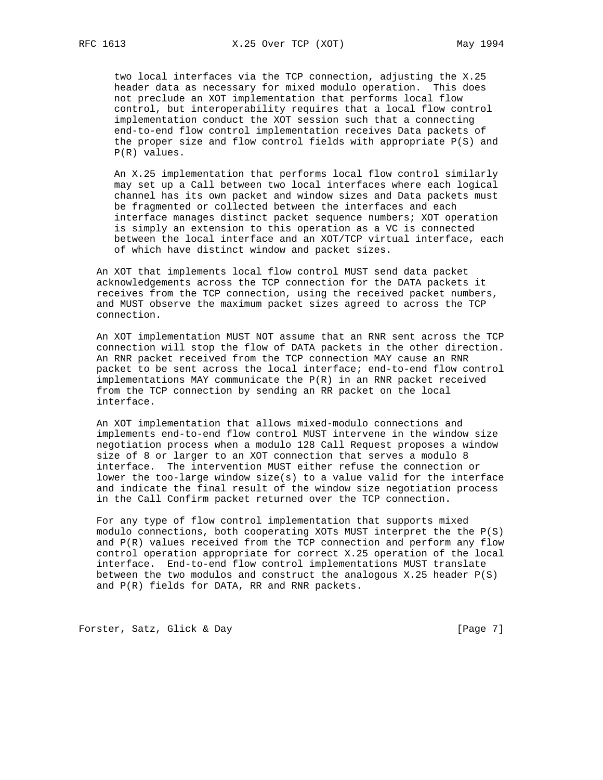two local interfaces via the TCP connection, adjusting the X.25 header data as necessary for mixed modulo operation. This does not preclude an XOT implementation that performs local flow control, but interoperability requires that a local flow control implementation conduct the XOT session such that a connecting end-to-end flow control implementation receives Data packets of the proper size and flow control fields with appropriate P(S) and P(R) values.

 An X.25 implementation that performs local flow control similarly may set up a Call between two local interfaces where each logical channel has its own packet and window sizes and Data packets must be fragmented or collected between the interfaces and each interface manages distinct packet sequence numbers; XOT operation is simply an extension to this operation as a VC is connected between the local interface and an XOT/TCP virtual interface, each of which have distinct window and packet sizes.

 An XOT that implements local flow control MUST send data packet acknowledgements across the TCP connection for the DATA packets it receives from the TCP connection, using the received packet numbers, and MUST observe the maximum packet sizes agreed to across the TCP connection.

 An XOT implementation MUST NOT assume that an RNR sent across the TCP connection will stop the flow of DATA packets in the other direction. An RNR packet received from the TCP connection MAY cause an RNR packet to be sent across the local interface; end-to-end flow control implementations MAY communicate the P(R) in an RNR packet received from the TCP connection by sending an RR packet on the local interface.

 An XOT implementation that allows mixed-modulo connections and implements end-to-end flow control MUST intervene in the window size negotiation process when a modulo 128 Call Request proposes a window size of 8 or larger to an XOT connection that serves a modulo 8 interface. The intervention MUST either refuse the connection or lower the too-large window size(s) to a value valid for the interface and indicate the final result of the window size negotiation process in the Call Confirm packet returned over the TCP connection.

 For any type of flow control implementation that supports mixed modulo connections, both cooperating XOTs MUST interpret the the P(S) and  $P(R)$  values received from the TCP connection and perform any flow control operation appropriate for correct X.25 operation of the local interface. End-to-end flow control implementations MUST translate between the two modulos and construct the analogous  $X.25$  header  $P(S)$ and P(R) fields for DATA, RR and RNR packets.

Forster, Satz, Glick & Day [Page 7]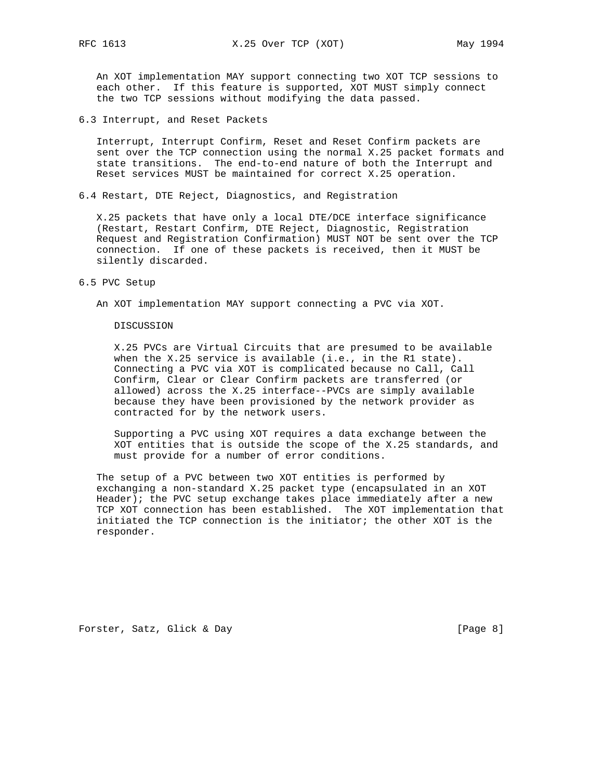An XOT implementation MAY support connecting two XOT TCP sessions to each other. If this feature is supported, XOT MUST simply connect the two TCP sessions without modifying the data passed.

6.3 Interrupt, and Reset Packets

 Interrupt, Interrupt Confirm, Reset and Reset Confirm packets are sent over the TCP connection using the normal X.25 packet formats and state transitions. The end-to-end nature of both the Interrupt and Reset services MUST be maintained for correct X.25 operation.

6.4 Restart, DTE Reject, Diagnostics, and Registration

 X.25 packets that have only a local DTE/DCE interface significance (Restart, Restart Confirm, DTE Reject, Diagnostic, Registration Request and Registration Confirmation) MUST NOT be sent over the TCP connection. If one of these packets is received, then it MUST be silently discarded.

#### 6.5 PVC Setup

An XOT implementation MAY support connecting a PVC via XOT.

#### DISCUSSION

 X.25 PVCs are Virtual Circuits that are presumed to be available when the X.25 service is available (i.e., in the R1 state). Connecting a PVC via XOT is complicated because no Call, Call Confirm, Clear or Clear Confirm packets are transferred (or allowed) across the X.25 interface--PVCs are simply available because they have been provisioned by the network provider as contracted for by the network users.

 Supporting a PVC using XOT requires a data exchange between the XOT entities that is outside the scope of the X.25 standards, and must provide for a number of error conditions.

 The setup of a PVC between two XOT entities is performed by exchanging a non-standard X.25 packet type (encapsulated in an XOT Header); the PVC setup exchange takes place immediately after a new TCP XOT connection has been established. The XOT implementation that initiated the TCP connection is the initiator; the other XOT is the responder.

Forster, Satz, Glick & Day [Page 8]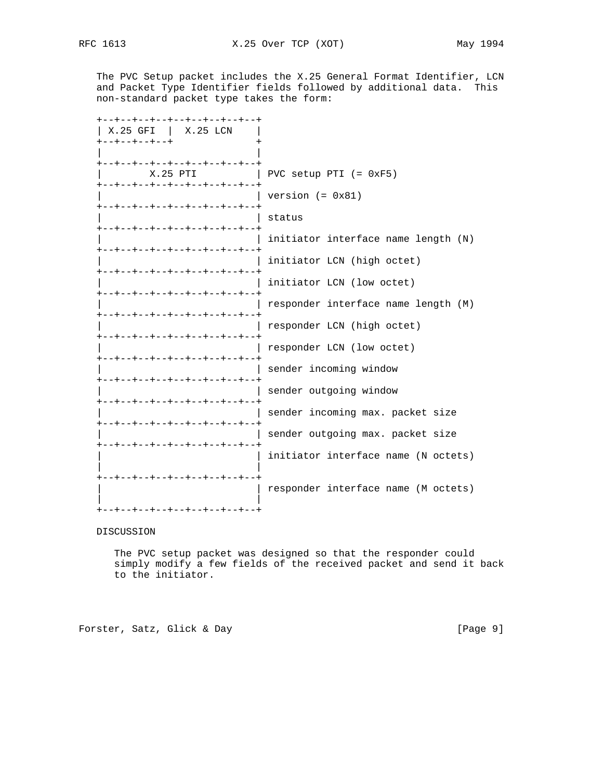The PVC Setup packet includes the X.25 General Format Identifier, LCN and Packet Type Identifier fields followed by additional data. This non-standard packet type takes the form:

| --+--+--+--+--+--+--+--+--+                                |                                     |
|------------------------------------------------------------|-------------------------------------|
| $X.25$ GFI $\mid$ $X.25$ LCN                               |                                     |
| +--+--+--+--+                                              | $\,{}^+$                            |
| +--+--+--+--+--+--+--+--+--+                               |                                     |
| $X.25$ PTI                                                 | PVC setup PTI $(= 0xF5)$            |
| +--+--+--+--+--+--+--+--+--<br>+--+--+--+--+--+--+--+--+-- | version $(= 0x81)$                  |
| +--+--+--+--+--+--+--+--+--+                               | status                              |
| +--+--+--+--+--+--+--+--+--+                               | initiator interface name length (N) |
| --+--+--+--+--+--+--+--+--+                                | initiator LCN (high octet)          |
| +--+--+--+--+--+--+--+--+--+                               | initiator LCN (low octet)           |
| +--+--+--+--+--+--+--+--+--+                               | responder interface name length (M) |
| +--+--+--+--+--+--+--+--+--+                               | responder LCN (high octet)          |
|                                                            | responder LCN (low octet)           |
| --+--+--+--+--+--+--+--+--+                                | sender incoming window              |
| .-+--+--+--+--+--+--+--+--+                                | sender outgoing window              |
| +--+--+--+--+--+--+--+--+--+                               | sender incoming max. packet size    |
| --+--+--+--+--+--+--+--+--+                                | sender outgoing max. packet size    |
| -+--+--+--+--+--+--+--+--+                                 | initiator interface name (N octets) |
| -+--+--+--+--+--+--+--+--+                                 | responder interface name (M octets) |
| -+--+--+--+--+--+--+--+                                    |                                     |

# DISCUSSION

 The PVC setup packet was designed so that the responder could simply modify a few fields of the received packet and send it back to the initiator.

Forster, Satz, Glick & Day [Page 9]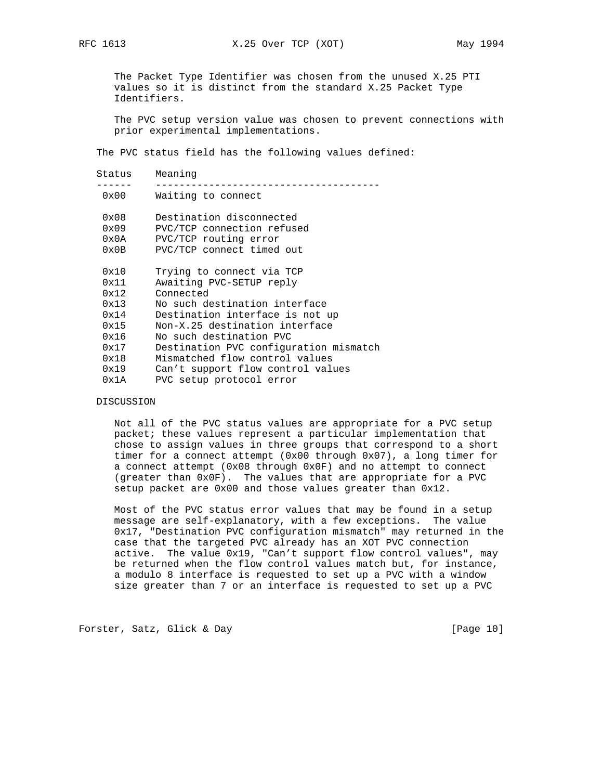The Packet Type Identifier was chosen from the unused X.25 PTI values so it is distinct from the standard X.25 Packet Type Identifiers.

 The PVC setup version value was chosen to prevent connections with prior experimental implementations.

The PVC status field has the following values defined:

| Meaning                                                                                                      |
|--------------------------------------------------------------------------------------------------------------|
| Waiting to connect                                                                                           |
| Destination disconnected<br>PVC/TCP connection refused<br>PVC/TCP routing error<br>PVC/TCP connect timed out |
| Trying to connect via TCP<br>Awaiting PVC-SETUP reply                                                        |
| Connected<br>No such destination interface                                                                   |
| Destination interface is not up                                                                              |
| Non-X.25 destination interface                                                                               |
| No such destination PVC                                                                                      |
| Destination PVC configuration mismatch                                                                       |
| Mismatched flow control values                                                                               |
| Can't support flow control values                                                                            |
| PVC setup protocol error                                                                                     |
|                                                                                                              |

DISCUSSION

 Not all of the PVC status values are appropriate for a PVC setup packet; these values represent a particular implementation that chose to assign values in three groups that correspond to a short timer for a connect attempt (0x00 through 0x07), a long timer for a connect attempt (0x08 through 0x0F) and no attempt to connect (greater than 0x0F). The values that are appropriate for a PVC setup packet are 0x00 and those values greater than 0x12.

 Most of the PVC status error values that may be found in a setup message are self-explanatory, with a few exceptions. The value 0x17, "Destination PVC configuration mismatch" may returned in the case that the targeted PVC already has an XOT PVC connection active. The value 0x19, "Can't support flow control values", may be returned when the flow control values match but, for instance, a modulo 8 interface is requested to set up a PVC with a window size greater than 7 or an interface is requested to set up a PVC

Forster, Satz, Glick & Day [Page 10]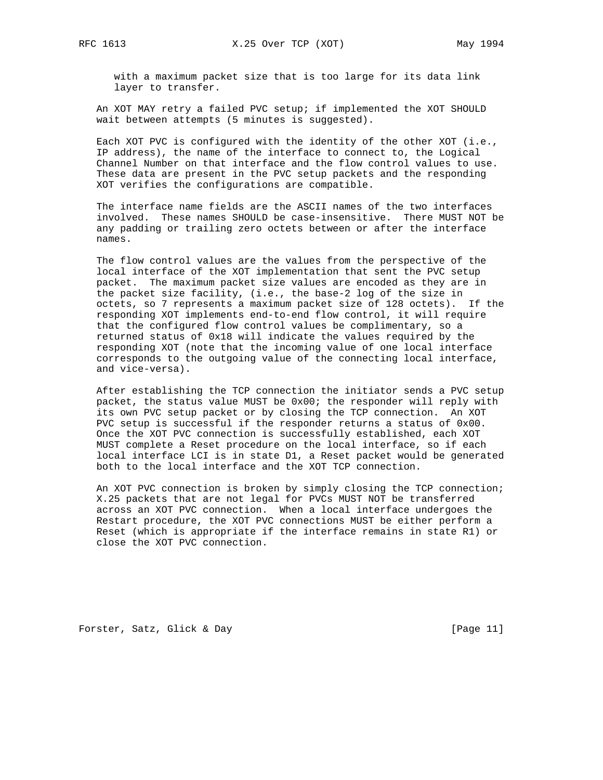with a maximum packet size that is too large for its data link layer to transfer.

 An XOT MAY retry a failed PVC setup; if implemented the XOT SHOULD wait between attempts (5 minutes is suggested).

 Each XOT PVC is configured with the identity of the other XOT (i.e., IP address), the name of the interface to connect to, the Logical Channel Number on that interface and the flow control values to use. These data are present in the PVC setup packets and the responding XOT verifies the configurations are compatible.

 The interface name fields are the ASCII names of the two interfaces involved. These names SHOULD be case-insensitive. There MUST NOT be any padding or trailing zero octets between or after the interface names.

 The flow control values are the values from the perspective of the local interface of the XOT implementation that sent the PVC setup packet. The maximum packet size values are encoded as they are in the packet size facility, (i.e., the base-2 log of the size in octets, so 7 represents a maximum packet size of 128 octets). If the responding XOT implements end-to-end flow control, it will require that the configured flow control values be complimentary, so a returned status of 0x18 will indicate the values required by the responding XOT (note that the incoming value of one local interface corresponds to the outgoing value of the connecting local interface, and vice-versa).

 After establishing the TCP connection the initiator sends a PVC setup packet, the status value MUST be 0x00; the responder will reply with its own PVC setup packet or by closing the TCP connection. An XOT PVC setup is successful if the responder returns a status of 0x00. Once the XOT PVC connection is successfully established, each XOT MUST complete a Reset procedure on the local interface, so if each local interface LCI is in state D1, a Reset packet would be generated both to the local interface and the XOT TCP connection.

 An XOT PVC connection is broken by simply closing the TCP connection; X.25 packets that are not legal for PVCs MUST NOT be transferred across an XOT PVC connection. When a local interface undergoes the Restart procedure, the XOT PVC connections MUST be either perform a Reset (which is appropriate if the interface remains in state R1) or close the XOT PVC connection.

Forster, Satz, Glick & Day [Page 11]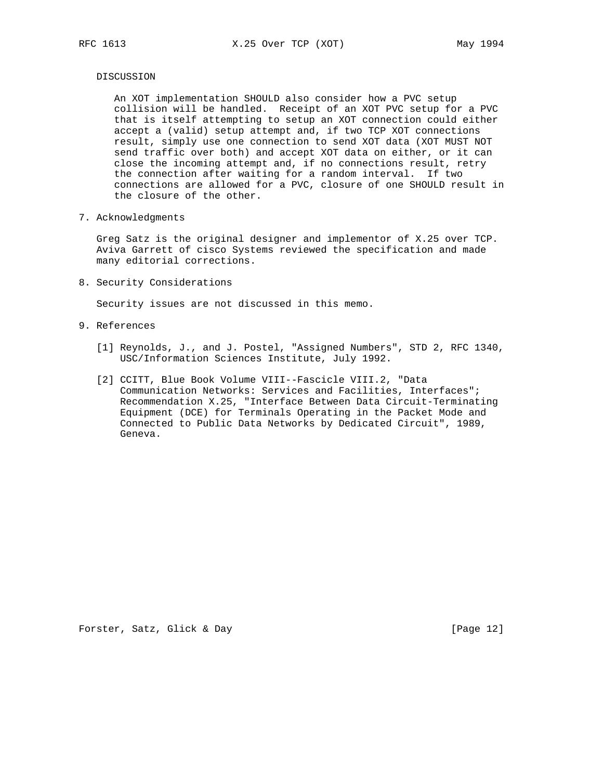### DISCUSSION

 An XOT implementation SHOULD also consider how a PVC setup collision will be handled. Receipt of an XOT PVC setup for a PVC that is itself attempting to setup an XOT connection could either accept a (valid) setup attempt and, if two TCP XOT connections result, simply use one connection to send XOT data (XOT MUST NOT send traffic over both) and accept XOT data on either, or it can close the incoming attempt and, if no connections result, retry the connection after waiting for a random interval. If two connections are allowed for a PVC, closure of one SHOULD result in the closure of the other.

7. Acknowledgments

 Greg Satz is the original designer and implementor of X.25 over TCP. Aviva Garrett of cisco Systems reviewed the specification and made many editorial corrections.

8. Security Considerations

Security issues are not discussed in this memo.

- 9. References
	- [1] Reynolds, J., and J. Postel, "Assigned Numbers", STD 2, RFC 1340, USC/Information Sciences Institute, July 1992.
	- [2] CCITT, Blue Book Volume VIII--Fascicle VIII.2, "Data Communication Networks: Services and Facilities, Interfaces"; Recommendation X.25, "Interface Between Data Circuit-Terminating Equipment (DCE) for Terminals Operating in the Packet Mode and Connected to Public Data Networks by Dedicated Circuit", 1989, Geneva.